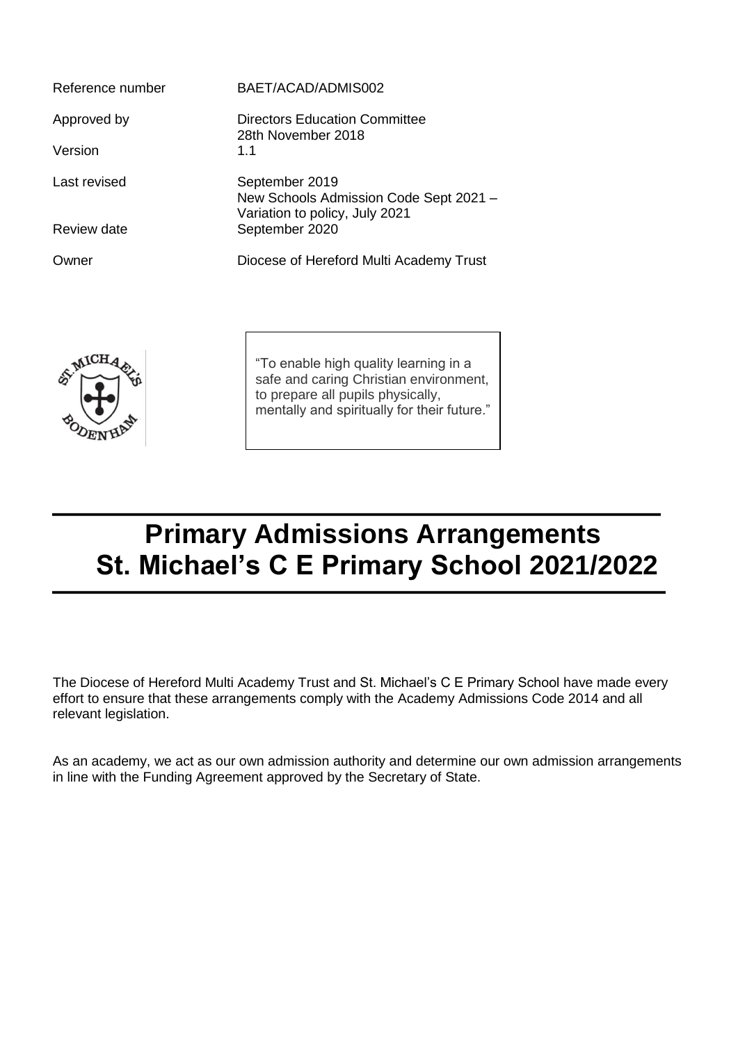| Reference number | BAET/ACAD/ADMIS002                                                                         |
|------------------|--------------------------------------------------------------------------------------------|
| Approved by      | Directors Education Committee<br>28th November 2018                                        |
| Version          | 1.1                                                                                        |
| Last revised     | September 2019<br>New Schools Admission Code Sept 2021 -<br>Variation to policy, July 2021 |
| Review date      | September 2020                                                                             |
| Owner            | Diocese of Hereford Multi Academy Trust                                                    |



"To enable high quality learning in a safe and caring Christian environment, to prepare all pupils physically, mentally and spiritually for their future."

# **Primary Admissions Arrangements St. Michael's C E Primary School 2021/2022**

The Diocese of Hereford Multi Academy Trust and St. Michael's C E Primary School have made every effort to ensure that these arrangements comply with the Academy Admissions Code 2014 and all relevant legislation.

As an academy, we act as our own admission authority and determine our own admission arrangements in line with the Funding Agreement approved by the Secretary of State.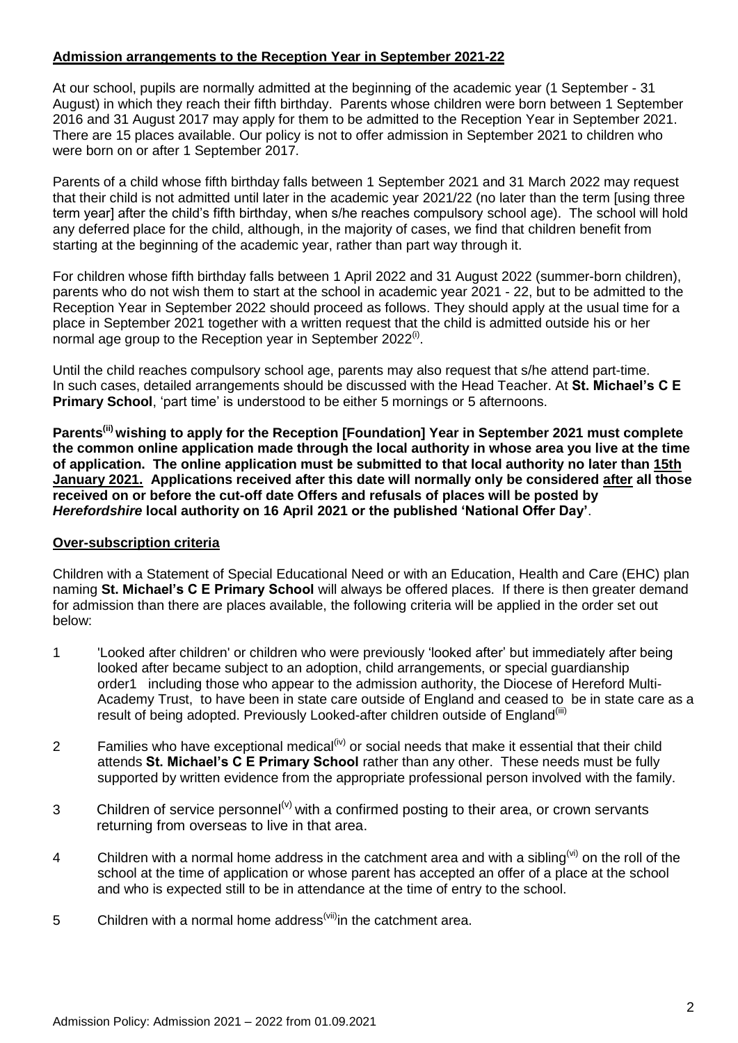# **Admission arrangements to the Reception Year in September 2021-22**

At our school, pupils are normally admitted at the beginning of the academic year (1 September - 31 August) in which they reach their fifth birthday. Parents whose children were born between 1 September 2016 and 31 August 2017 may apply for them to be admitted to the Reception Year in September 2021. There are 15 places available. Our policy is not to offer admission in September 2021 to children who were born on or after 1 September 2017.

Parents of a child whose fifth birthday falls between 1 September 2021 and 31 March 2022 may request that their child is not admitted until later in the academic year 2021/22 (no later than the term [using three term year] after the child's fifth birthday, when s/he reaches compulsory school age). The school will hold any deferred place for the child, although, in the majority of cases, we find that children benefit from starting at the beginning of the academic year, rather than part way through it.

For children whose fifth birthday falls between 1 April 2022 and 31 August 2022 (summer-born children), parents who do not wish them to start at the school in academic year 2021 - 22, but to be admitted to the Reception Year in September 2022 should proceed as follows. They should apply at the usual time for a place in September 2021 together with a written request that the child is admitted outside his or her normal age group to the Reception year in September 2022<sup>(i)</sup>.

Until the child reaches compulsory school age, parents may also request that s/he attend part-time. In such cases, detailed arrangements should be discussed with the Head Teacher. At **St. Michael's C E Primary School**, 'part time' is understood to be either 5 mornings or 5 afternoons.

**Parents(ii) wishing to apply for the Reception [Foundation] Year in September 2021 must complete the common online application made through the local authority in whose area you live at the time of application. The online application must be submitted to that local authority no later than 15th January 2021. Applications received after this date will normally only be considered after all those received on or before the cut-off date Offers and refusals of places will be posted by**  *Herefordshire* **local authority on 16 April 2021 or the published 'National Offer Day'**.

## **Over-subscription criteria**

Children with a Statement of Special Educational Need or with an Education, Health and Care (EHC) plan naming **St. Michael's C E Primary School** will always be offered places. If there is then greater demand for admission than there are places available, the following criteria will be applied in the order set out below:

- 1 'Looked after children' or children who were previously 'looked after' but immediately after being looked after became subject to an adoption, child arrangements, or special guardianship order1 including those who appear to the admission authority, the Diocese of Hereford Multi-Academy Trust, to have been in state care outside of England and ceased to be in state care as a result of being adopted. Previously Looked-after children outside of England<sup>(iii)</sup>
- 2 Families who have exceptional medical<sup>(iv)</sup> or social needs that make it essential that their child attends **St. Michael's C E Primary School** rather than any other. These needs must be fully supported by written evidence from the appropriate professional person involved with the family.
- 3 Children of service personnel<sup>(v)</sup> with a confirmed posting to their area, or crown servants returning from overseas to live in that area.
- 4 Children with a normal home address in the catchment area and with a sibling<sup>(vi)</sup> on the roll of the school at the time of application or whose parent has accepted an offer of a place at the school and who is expected still to be in attendance at the time of entry to the school.
- 5 Children with a normal home address<sup>(vii)</sup>in the catchment area.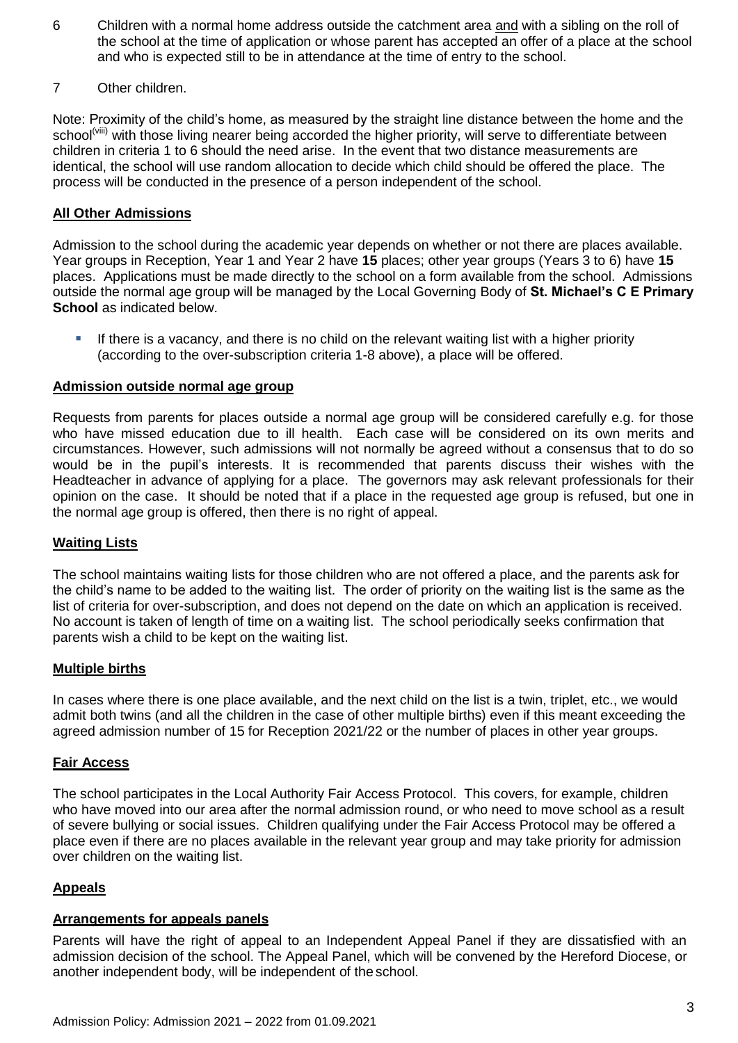- 6 Children with a normal home address outside the catchment area and with a sibling on the roll of the school at the time of application or whose parent has accepted an offer of a place at the school and who is expected still to be in attendance at the time of entry to the school.
- 7 Other children.

Note: Proximity of the child's home, as measured by the straight line distance between the home and the school<sup>(viii)</sup> with those living nearer being accorded the higher priority, will serve to differentiate between children in criteria 1 to 6 should the need arise. In the event that two distance measurements are identical, the school will use random allocation to decide which child should be offered the place. The process will be conducted in the presence of a person independent of the school.

# **All Other Admissions**

Admission to the school during the academic year depends on whether or not there are places available. Year groups in Reception, Year 1 and Year 2 have **15** places; other year groups (Years 3 to 6) have **15** places. Applications must be made directly to the school on a form available from the school. Admissions outside the normal age group will be managed by the Local Governing Body of **St. Michael's C E Primary School** as indicated below.

If there is a vacancy, and there is no child on the relevant waiting list with a higher priority (according to the over-subscription criteria 1-8 above), a place will be offered.

## **Admission outside normal age group**

Requests from parents for places outside a normal age group will be considered carefully e.g. for those who have missed education due to ill health. Each case will be considered on its own merits and circumstances. However, such admissions will not normally be agreed without a consensus that to do so would be in the pupil's interests. It is recommended that parents discuss their wishes with the Headteacher in advance of applying for a place. The governors may ask relevant professionals for their opinion on the case. It should be noted that if a place in the requested age group is refused, but one in the normal age group is offered, then there is no right of appeal.

#### **Waiting Lists**

The school maintains waiting lists for those children who are not offered a place, and the parents ask for the child's name to be added to the waiting list. The order of priority on the waiting list is the same as the list of criteria for over-subscription, and does not depend on the date on which an application is received. No account is taken of length of time on a waiting list. The school periodically seeks confirmation that parents wish a child to be kept on the waiting list.

## **Multiple births**

In cases where there is one place available, and the next child on the list is a twin, triplet, etc., we would admit both twins (and all the children in the case of other multiple births) even if this meant exceeding the agreed admission number of 15 for Reception 2021/22 or the number of places in other year groups.

#### **Fair Access**

The school participates in the Local Authority Fair Access Protocol. This covers, for example, children who have moved into our area after the normal admission round, or who need to move school as a result of severe bullying or social issues. Children qualifying under the Fair Access Protocol may be offered a place even if there are no places available in the relevant year group and may take priority for admission over children on the waiting list.

## **Appeals**

#### **Arrangements for appeals panels**

Parents will have the right of appeal to an Independent Appeal Panel if they are dissatisfied with an admission decision of the school. The Appeal Panel, which will be convened by the Hereford Diocese, or another independent body, will be independent of the school.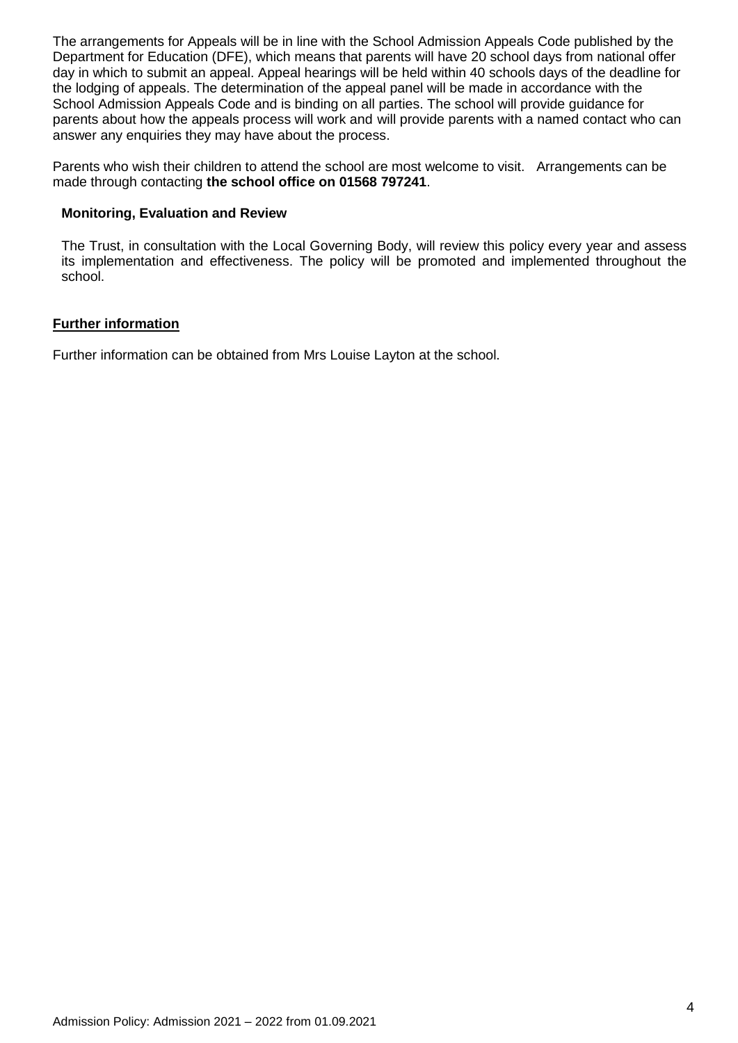The arrangements for Appeals will be in line with the School Admission Appeals Code published by the Department for Education (DFE), which means that parents will have 20 school days from national offer day in which to submit an appeal. Appeal hearings will be held within 40 schools days of the deadline for the lodging of appeals. The determination of the appeal panel will be made in accordance with the School Admission Appeals Code and is binding on all parties. The school will provide guidance for parents about how the appeals process will work and will provide parents with a named contact who can answer any enquiries they may have about the process.

Parents who wish their children to attend the school are most welcome to visit. Arrangements can be made through contacting **the school office on 01568 797241**.

### **Monitoring, Evaluation and Review**

The Trust, in consultation with the Local Governing Body, will review this policy every year and assess its implementation and effectiveness. The policy will be promoted and implemented throughout the school.

## **Further information**

Further information can be obtained from Mrs Louise Layton at the school.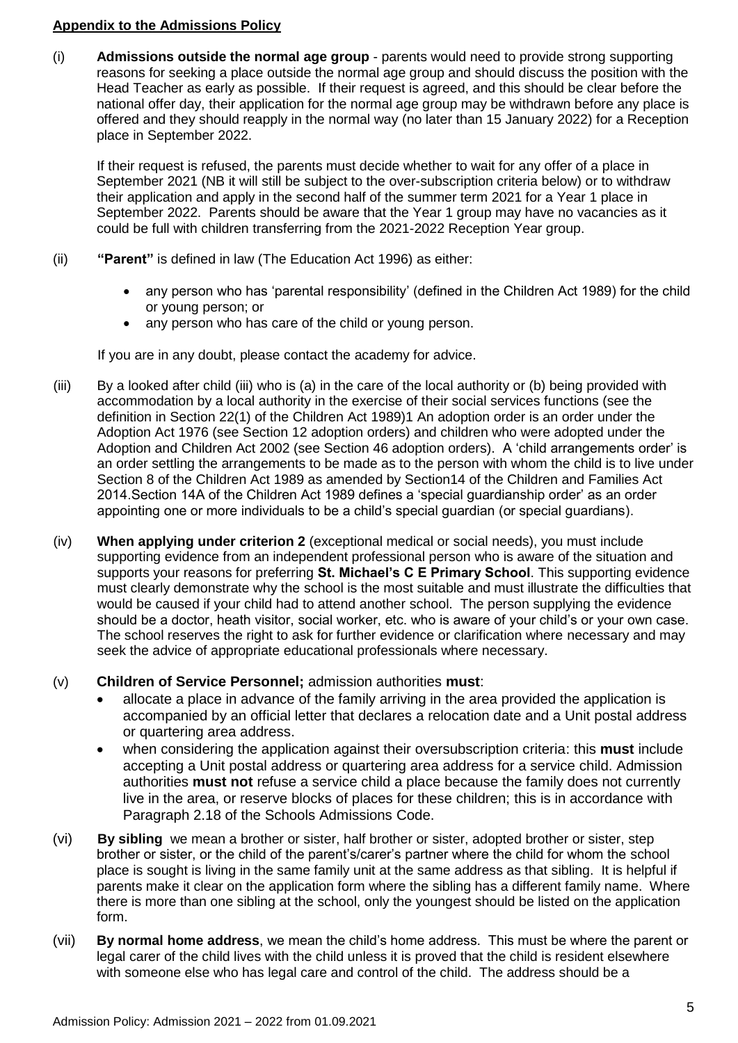# **Appendix to the Admissions Policy**

(i) **Admissions outside the normal age group** - parents would need to provide strong supporting reasons for seeking a place outside the normal age group and should discuss the position with the Head Teacher as early as possible. If their request is agreed, and this should be clear before the national offer day, their application for the normal age group may be withdrawn before any place is offered and they should reapply in the normal way (no later than 15 January 2022) for a Reception place in September 2022.

If their request is refused, the parents must decide whether to wait for any offer of a place in September 2021 (NB it will still be subject to the over-subscription criteria below) or to withdraw their application and apply in the second half of the summer term 2021 for a Year 1 place in September 2022. Parents should be aware that the Year 1 group may have no vacancies as it could be full with children transferring from the 2021-2022 Reception Year group.

- (ii) **"Parent"** is defined in law (The Education Act 1996) as either:
	- any person who has 'parental responsibility' (defined in the Children Act 1989) for the child or young person; or
	- any person who has care of the child or young person.

If you are in any doubt, please contact the academy for advice.

- (iii) By a looked after child (iii) who is (a) in the care of the local authority or (b) being provided with accommodation by a local authority in the exercise of their social services functions (see the definition in Section 22(1) of the Children Act 1989)1 An adoption order is an order under the Adoption Act 1976 (see Section 12 adoption orders) and children who were adopted under the Adoption and Children Act 2002 (see Section 46 adoption orders). A 'child arrangements order' is an order settling the arrangements to be made as to the person with whom the child is to live under Section 8 of the Children Act 1989 as amended by Section14 of the Children and Families Act 2014.Section 14A of the Children Act 1989 defines a 'special guardianship order' as an order appointing one or more individuals to be a child's special guardian (or special guardians).
- (iv) **When applying under criterion 2** (exceptional medical or social needs), you must include supporting evidence from an independent professional person who is aware of the situation and supports your reasons for preferring **St. Michael's C E Primary School**. This supporting evidence must clearly demonstrate why the school is the most suitable and must illustrate the difficulties that would be caused if your child had to attend another school. The person supplying the evidence should be a doctor, heath visitor, social worker, etc. who is aware of your child's or your own case. The school reserves the right to ask for further evidence or clarification where necessary and may seek the advice of appropriate educational professionals where necessary.
- (v) **Children of Service Personnel;** admission authorities **must**:
	- allocate a place in advance of the family arriving in the area provided the application is accompanied by an official letter that declares a relocation date and a Unit postal address or quartering area address.
	- when considering the application against their oversubscription criteria: this **must** include accepting a Unit postal address or quartering area address for a service child. Admission authorities **must not** refuse a service child a place because the family does not currently live in the area, or reserve blocks of places for these children; this is in accordance with Paragraph 2.18 of the Schools Admissions Code.
- (vi) **By sibling** we mean a brother or sister, half brother or sister, adopted brother or sister, step brother or sister, or the child of the parent's/carer's partner where the child for whom the school place is sought is living in the same family unit at the same address as that sibling. It is helpful if parents make it clear on the application form where the sibling has a different family name. Where there is more than one sibling at the school, only the youngest should be listed on the application form.
- (vii) **By normal home address**, we mean the child's home address. This must be where the parent or legal carer of the child lives with the child unless it is proved that the child is resident elsewhere with someone else who has legal care and control of the child. The address should be a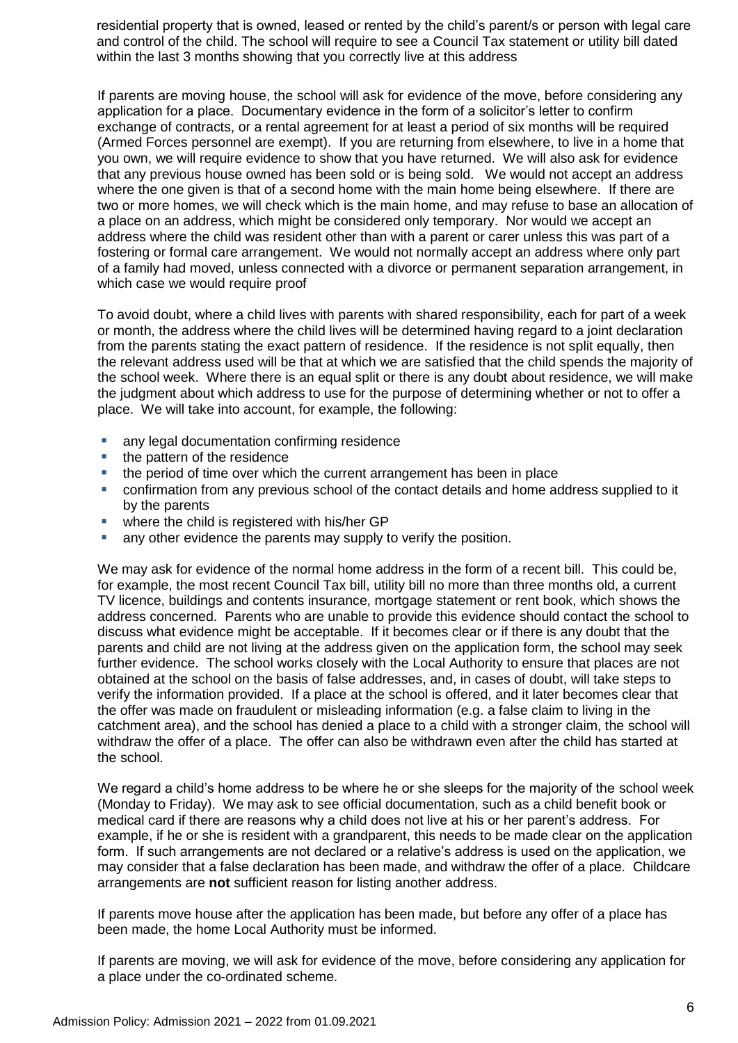residential property that is owned, leased or rented by the child's parent/s or person with legal care and control of the child. The school will require to see a Council Tax statement or utility bill dated within the last 3 months showing that you correctly live at this address

If parents are moving house, the school will ask for evidence of the move, before considering any application for a place. Documentary evidence in the form of a solicitor's letter to confirm exchange of contracts, or a rental agreement for at least a period of six months will be required (Armed Forces personnel are exempt). If you are returning from elsewhere, to live in a home that you own, we will require evidence to show that you have returned. We will also ask for evidence that any previous house owned has been sold or is being sold. We would not accept an address where the one given is that of a second home with the main home being elsewhere. If there are two or more homes, we will check which is the main home, and may refuse to base an allocation of a place on an address, which might be considered only temporary. Nor would we accept an address where the child was resident other than with a parent or carer unless this was part of a fostering or formal care arrangement. We would not normally accept an address where only part of a family had moved, unless connected with a divorce or permanent separation arrangement, in which case we would require proof

To avoid doubt, where a child lives with parents with shared responsibility, each for part of a week or month, the address where the child lives will be determined having regard to a joint declaration from the parents stating the exact pattern of residence. If the residence is not split equally, then the relevant address used will be that at which we are satisfied that the child spends the majority of the school week. Where there is an equal split or there is any doubt about residence, we will make the judgment about which address to use for the purpose of determining whether or not to offer a place. We will take into account, for example, the following:

- **any legal documentation confirming residence**
- the pattern of the residence
- the period of time over which the current arrangement has been in place
- confirmation from any previous school of the contact details and home address supplied to it by the parents
- where the child is registered with his/her GP
- **E** any other evidence the parents may supply to verify the position.

We may ask for evidence of the normal home address in the form of a recent bill. This could be, for example, the most recent Council Tax bill, utility bill no more than three months old, a current TV licence, buildings and contents insurance, mortgage statement or rent book, which shows the address concerned. Parents who are unable to provide this evidence should contact the school to discuss what evidence might be acceptable. If it becomes clear or if there is any doubt that the parents and child are not living at the address given on the application form, the school may seek further evidence. The school works closely with the Local Authority to ensure that places are not obtained at the school on the basis of false addresses, and, in cases of doubt, will take steps to verify the information provided. If a place at the school is offered, and it later becomes clear that the offer was made on fraudulent or misleading information (e.g. a false claim to living in the catchment area), and the school has denied a place to a child with a stronger claim, the school will withdraw the offer of a place. The offer can also be withdrawn even after the child has started at the school.

We regard a child's home address to be where he or she sleeps for the majority of the school week (Monday to Friday). We may ask to see official documentation, such as a child benefit book or medical card if there are reasons why a child does not live at his or her parent's address. For example, if he or she is resident with a grandparent, this needs to be made clear on the application form. If such arrangements are not declared or a relative's address is used on the application, we may consider that a false declaration has been made, and withdraw the offer of a place. Childcare arrangements are **not** sufficient reason for listing another address.

If parents move house after the application has been made, but before any offer of a place has been made, the home Local Authority must be informed.

If parents are moving, we will ask for evidence of the move, before considering any application for a place under the co-ordinated scheme.